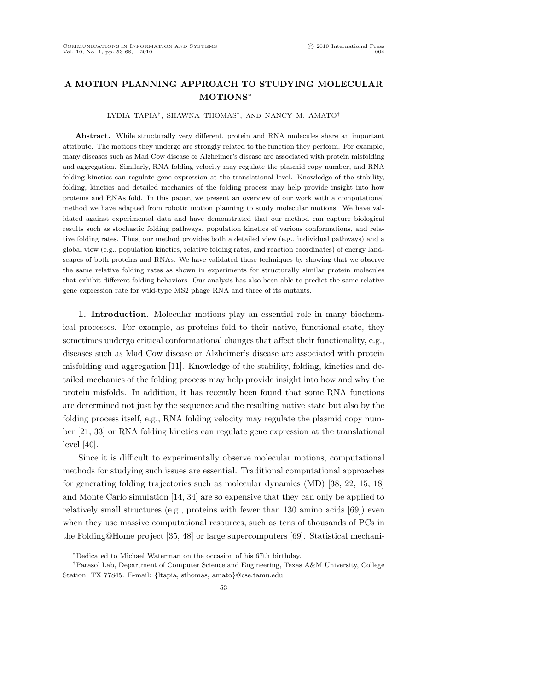# A MOTION PLANNING APPROACH TO STUDYING MOLECULAR MOTIONS<sup>∗</sup>

#### LYDIA TAPIA† , SHAWNA THOMAS† , AND NANCY M. AMATO†

Abstract. While structurally very different, protein and RNA molecules share an important attribute. The motions they undergo are strongly related to the function they perform. For example, many diseases such as Mad Cow disease or Alzheimer's disease are associated with protein misfolding and aggregation. Similarly, RNA folding velocity may regulate the plasmid copy number, and RNA folding kinetics can regulate gene expression at the translational level. Knowledge of the stability, folding, kinetics and detailed mechanics of the folding process may help provide insight into how proteins and RNAs fold. In this paper, we present an overview of our work with a computational method we have adapted from robotic motion planning to study molecular motions. We have validated against experimental data and have demonstrated that our method can capture biological results such as stochastic folding pathways, population kinetics of various conformations, and relative folding rates. Thus, our method provides both a detailed view (e.g., individual pathways) and a global view (e.g., population kinetics, relative folding rates, and reaction coordinates) of energy landscapes of both proteins and RNAs. We have validated these techniques by showing that we observe the same relative folding rates as shown in experiments for structurally similar protein molecules that exhibit different folding behaviors. Our analysis has also been able to predict the same relative gene expression rate for wild-type MS2 phage RNA and three of its mutants.

1. Introduction. Molecular motions play an essential role in many biochemical processes. For example, as proteins fold to their native, functional state, they sometimes undergo critical conformational changes that affect their functionality, e.g., diseases such as Mad Cow disease or Alzheimer's disease are associated with protein misfolding and aggregation [11]. Knowledge of the stability, folding, kinetics and detailed mechanics of the folding process may help provide insight into how and why the protein misfolds. In addition, it has recently been found that some RNA functions are determined not just by the sequence and the resulting native state but also by the folding process itself, e.g., RNA folding velocity may regulate the plasmid copy number [21, 33] or RNA folding kinetics can regulate gene expression at the translational level [40].

Since it is difficult to experimentally observe molecular motions, computational methods for studying such issues are essential. Traditional computational approaches for generating folding trajectories such as molecular dynamics (MD) [38, 22, 15, 18] and Monte Carlo simulation [14, 34] are so expensive that they can only be applied to relatively small structures (e.g., proteins with fewer than 130 amino acids [69]) even when they use massive computational resources, such as tens of thousands of PCs in the Folding@Home project [35, 48] or large supercomputers [69]. Statistical mechani-

<sup>∗</sup>Dedicated to Michael Waterman on the occasion of his 67th birthday.

<sup>†</sup>Parasol Lab, Department of Computer Science and Engineering, Texas A&M University, College Station, TX 77845. E-mail: {ltapia, sthomas, amato}@cse.tamu.edu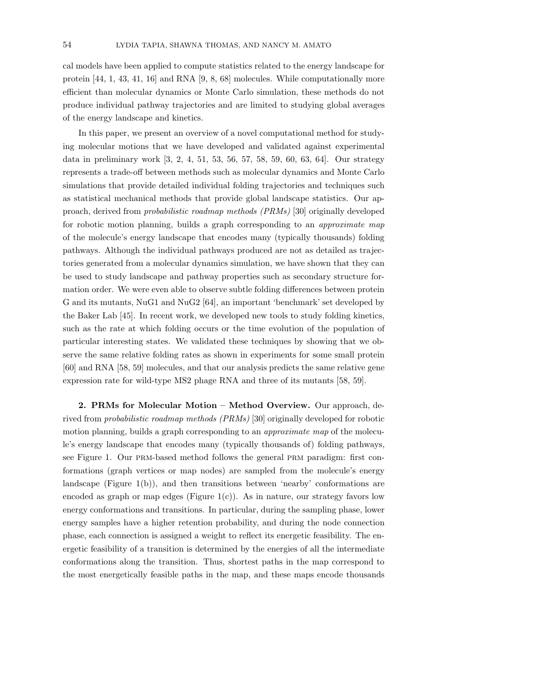cal models have been applied to compute statistics related to the energy landscape for protein [44, 1, 43, 41, 16] and RNA [9, 8, 68] molecules. While computationally more efficient than molecular dynamics or Monte Carlo simulation, these methods do not produce individual pathway trajectories and are limited to studying global averages of the energy landscape and kinetics.

In this paper, we present an overview of a novel computational method for studying molecular motions that we have developed and validated against experimental data in preliminary work [3, 2, 4, 51, 53, 56, 57, 58, 59, 60, 63, 64]. Our strategy represents a trade-off between methods such as molecular dynamics and Monte Carlo simulations that provide detailed individual folding trajectories and techniques such as statistical mechanical methods that provide global landscape statistics. Our approach, derived from probabilistic roadmap methods (PRMs) [30] originally developed for robotic motion planning, builds a graph corresponding to an approximate map of the molecule's energy landscape that encodes many (typically thousands) folding pathways. Although the individual pathways produced are not as detailed as trajectories generated from a molecular dynamics simulation, we have shown that they can be used to study landscape and pathway properties such as secondary structure formation order. We were even able to observe subtle folding differences between protein G and its mutants, NuG1 and NuG2 [64], an important 'benchmark' set developed by the Baker Lab [45]. In recent work, we developed new tools to study folding kinetics, such as the rate at which folding occurs or the time evolution of the population of particular interesting states. We validated these techniques by showing that we observe the same relative folding rates as shown in experiments for some small protein [60] and RNA [58, 59] molecules, and that our analysis predicts the same relative gene expression rate for wild-type MS2 phage RNA and three of its mutants [58, 59].

2. PRMs for Molecular Motion – Method Overview. Our approach, derived from probabilistic roadmap methods (PRMs) [30] originally developed for robotic motion planning, builds a graph corresponding to an *approximate map* of the molecule's energy landscape that encodes many (typically thousands of) folding pathways, see Figure 1. Our prm-based method follows the general prm paradigm: first conformations (graph vertices or map nodes) are sampled from the molecule's energy landscape (Figure 1(b)), and then transitions between 'nearby' conformations are encoded as graph or map edges (Figure  $1(c)$ ). As in nature, our strategy favors low energy conformations and transitions. In particular, during the sampling phase, lower energy samples have a higher retention probability, and during the node connection phase, each connection is assigned a weight to reflect its energetic feasibility. The energetic feasibility of a transition is determined by the energies of all the intermediate conformations along the transition. Thus, shortest paths in the map correspond to the most energetically feasible paths in the map, and these maps encode thousands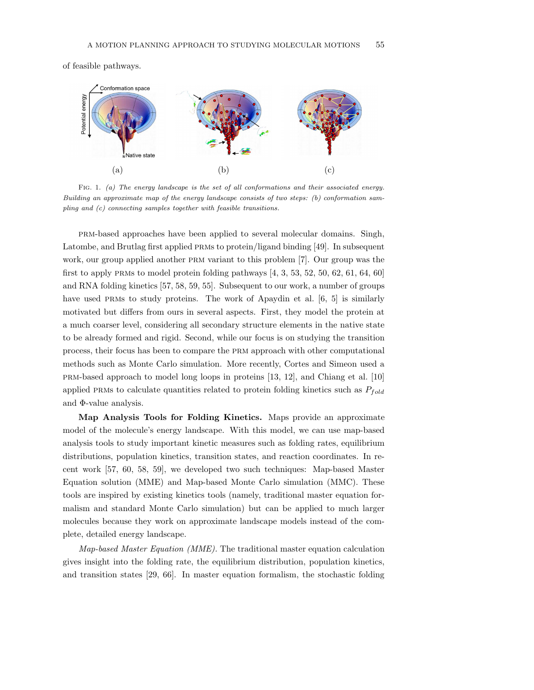of feasible pathways.



FIG. 1. (a) The energy landscape is the set of all conformations and their associated energy. Building an approximate map of the energy landscape consists of two steps: (b) conformation sampling and (c) connecting samples together with feasible transitions.

prm-based approaches have been applied to several molecular domains. Singh, Latombe, and Brutlag first applied prms to protein/ligand binding [49]. In subsequent work, our group applied another PRM variant to this problem [7]. Our group was the first to apply PRMs to model protein folding pathways  $[4, 3, 53, 52, 50, 62, 61, 64, 60]$ and RNA folding kinetics [57, 58, 59, 55]. Subsequent to our work, a number of groups have used PRMs to study proteins. The work of Apaydin et al. [6, 5] is similarly motivated but differs from ours in several aspects. First, they model the protein at a much coarser level, considering all secondary structure elements in the native state to be already formed and rigid. Second, while our focus is on studying the transition process, their focus has been to compare the prm approach with other computational methods such as Monte Carlo simulation. More recently, Cortes and Simeon used a prm-based approach to model long loops in proteins [13, 12], and Chiang et al. [10] applied PRMs to calculate quantities related to protein folding kinetics such as  $P_{fold}$ and Φ-value analysis.

Map Analysis Tools for Folding Kinetics. Maps provide an approximate model of the molecule's energy landscape. With this model, we can use map-based analysis tools to study important kinetic measures such as folding rates, equilibrium distributions, population kinetics, transition states, and reaction coordinates. In recent work [57, 60, 58, 59], we developed two such techniques: Map-based Master Equation solution (MME) and Map-based Monte Carlo simulation (MMC). These tools are inspired by existing kinetics tools (namely, traditional master equation formalism and standard Monte Carlo simulation) but can be applied to much larger molecules because they work on approximate landscape models instead of the complete, detailed energy landscape.

Map-based Master Equation (MME). The traditional master equation calculation gives insight into the folding rate, the equilibrium distribution, population kinetics, and transition states [29, 66]. In master equation formalism, the stochastic folding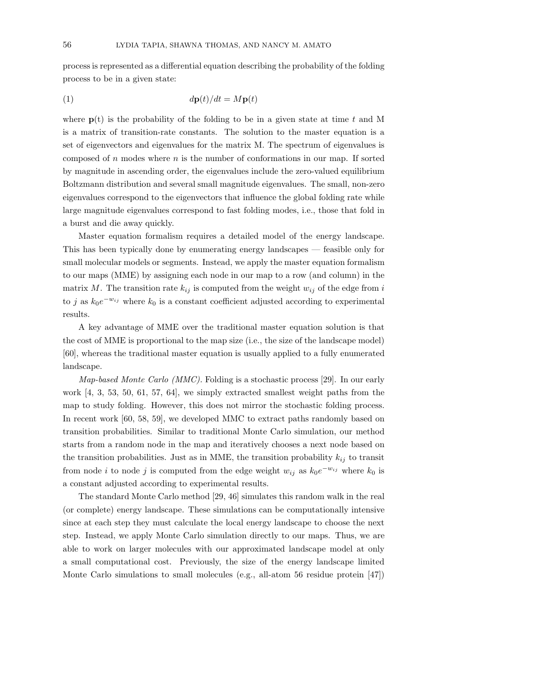process is represented as a differential equation describing the probability of the folding process to be in a given state:

$$
d\mathbf{p}(t)/dt = M\mathbf{p}(t)
$$

where  $p(t)$  is the probability of the folding to be in a given state at time t and M is a matrix of transition-rate constants. The solution to the master equation is a set of eigenvectors and eigenvalues for the matrix M. The spectrum of eigenvalues is composed of n modes where  $n$  is the number of conformations in our map. If sorted by magnitude in ascending order, the eigenvalues include the zero-valued equilibrium Boltzmann distribution and several small magnitude eigenvalues. The small, non-zero eigenvalues correspond to the eigenvectors that influence the global folding rate while large magnitude eigenvalues correspond to fast folding modes, i.e., those that fold in a burst and die away quickly.

Master equation formalism requires a detailed model of the energy landscape. This has been typically done by enumerating energy landscapes — feasible only for small molecular models or segments. Instead, we apply the master equation formalism to our maps (MME) by assigning each node in our map to a row (and column) in the matrix M. The transition rate  $k_{ij}$  is computed from the weight  $w_{ij}$  of the edge from i to j as  $k_0e^{-w_{ij}}$  where  $k_0$  is a constant coefficient adjusted according to experimental results.

A key advantage of MME over the traditional master equation solution is that the cost of MME is proportional to the map size (i.e., the size of the landscape model) [60], whereas the traditional master equation is usually applied to a fully enumerated landscape.

Map-based Monte Carlo (MMC). Folding is a stochastic process [29]. In our early work [4, 3, 53, 50, 61, 57, 64], we simply extracted smallest weight paths from the map to study folding. However, this does not mirror the stochastic folding process. In recent work [60, 58, 59], we developed MMC to extract paths randomly based on transition probabilities. Similar to traditional Monte Carlo simulation, our method starts from a random node in the map and iteratively chooses a next node based on the transition probabilities. Just as in MME, the transition probability  $k_{ij}$  to transit from node i to node j is computed from the edge weight  $w_{ij}$  as  $k_0e^{-w_{ij}}$  where  $k_0$  is a constant adjusted according to experimental results.

The standard Monte Carlo method [29, 46] simulates this random walk in the real (or complete) energy landscape. These simulations can be computationally intensive since at each step they must calculate the local energy landscape to choose the next step. Instead, we apply Monte Carlo simulation directly to our maps. Thus, we are able to work on larger molecules with our approximated landscape model at only a small computational cost. Previously, the size of the energy landscape limited Monte Carlo simulations to small molecules (e.g., all-atom 56 residue protein [47])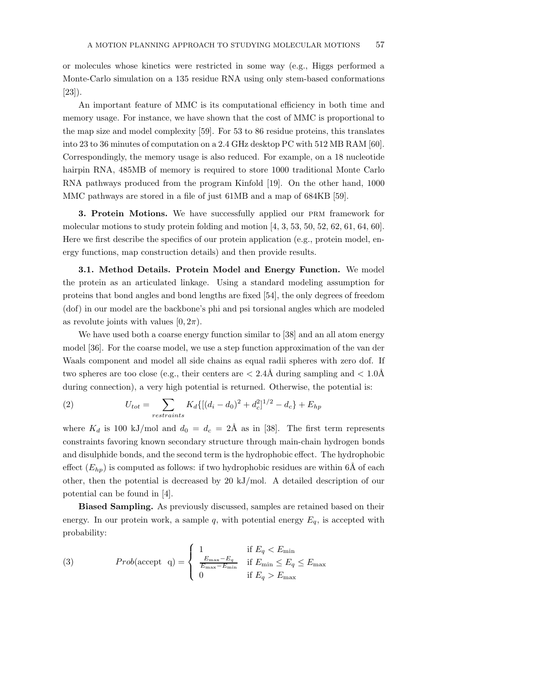or molecules whose kinetics were restricted in some way (e.g., Higgs performed a Monte-Carlo simulation on a 135 residue RNA using only stem-based conformations [23]).

An important feature of MMC is its computational efficiency in both time and memory usage. For instance, we have shown that the cost of MMC is proportional to the map size and model complexity [59]. For 53 to 86 residue proteins, this translates into 23 to 36 minutes of computation on a 2.4 GHz desktop PC with 512 MB RAM [60]. Correspondingly, the memory usage is also reduced. For example, on a 18 nucleotide hairpin RNA, 485MB of memory is required to store 1000 traditional Monte Carlo RNA pathways produced from the program Kinfold [19]. On the other hand, 1000 MMC pathways are stored in a file of just 61MB and a map of 684KB [59].

**3. Protein Motions.** We have successfully applied our PRM framework for molecular motions to study protein folding and motion [4, 3, 53, 50, 52, 62, 61, 64, 60]. Here we first describe the specifics of our protein application (e.g., protein model, energy functions, map construction details) and then provide results.

3.1. Method Details. Protein Model and Energy Function. We model the protein as an articulated linkage. Using a standard modeling assumption for proteins that bond angles and bond lengths are fixed [54], the only degrees of freedom (dof) in our model are the backbone's phi and psi torsional angles which are modeled as revolute joints with values  $[0, 2\pi)$ .

We have used both a coarse energy function similar to [38] and an all atom energy model [36]. For the coarse model, we use a step function approximation of the van der Waals component and model all side chains as equal radii spheres with zero dof. If two spheres are too close (e.g., their centers are  $\langle 2.4\text{\AA}$  during sampling and  $\langle 1.0\text{\AA}$ during connection), a very high potential is returned. Otherwise, the potential is:

(2) 
$$
U_{tot} = \sum_{restrains} K_d \{ [(d_i - d_0)^2 + d_c^2]^{1/2} - d_c \} + E_{hp}
$$

where  $K_d$  is 100 kJ/mol and  $d_0 = d_c = 2$ Å as in [38]. The first term represents constraints favoring known secondary structure through main-chain hydrogen bonds and disulphide bonds, and the second term is the hydrophobic effect. The hydrophobic effect  $(E_{hp})$  is computed as follows: if two hydrophobic residues are within 6Å of each other, then the potential is decreased by 20 kJ/mol. A detailed description of our potential can be found in [4].

Biased Sampling. As previously discussed, samples are retained based on their energy. In our protein work, a sample q, with potential energy  $E_q$ , is accepted with probability:

(3) 
$$
Prob(\text{accept } q) = \begin{cases} 1 & \text{if } E_q < E_{\min} \\ \frac{E_{\max} - E_q}{E_{\max} - E_{\min}} & \text{if } E_{\min} \le E_q \le E_{\max} \\ 0 & \text{if } E_q > E_{\max} \end{cases}
$$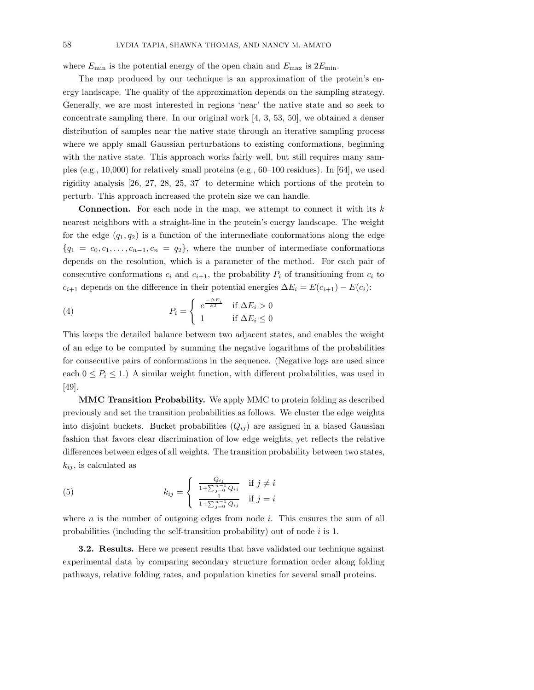where  $E_{\text{min}}$  is the potential energy of the open chain and  $E_{\text{max}}$  is  $2E_{\text{min}}$ .

The map produced by our technique is an approximation of the protein's energy landscape. The quality of the approximation depends on the sampling strategy. Generally, we are most interested in regions 'near' the native state and so seek to concentrate sampling there. In our original work [4, 3, 53, 50], we obtained a denser distribution of samples near the native state through an iterative sampling process where we apply small Gaussian perturbations to existing conformations, beginning with the native state. This approach works fairly well, but still requires many samples (e.g., 10,000) for relatively small proteins (e.g., 60–100 residues). In [64], we used rigidity analysis [26, 27, 28, 25, 37] to determine which portions of the protein to perturb. This approach increased the protein size we can handle.

**Connection.** For each node in the map, we attempt to connect it with its  $k$ nearest neighbors with a straight-line in the protein's energy landscape. The weight for the edge  $(q_1, q_2)$  is a function of the intermediate conformations along the edge  ${q_1 = c_0, c_1, \ldots, c_{n-1}, c_n = q_2}$ , where the number of intermediate conformations depends on the resolution, which is a parameter of the method. For each pair of consecutive conformations  $c_i$  and  $c_{i+1}$ , the probability  $P_i$  of transitioning from  $c_i$  to  $c_{i+1}$  depends on the difference in their potential energies  $\Delta E_i = E(c_{i+1}) - E(c_i)$ :

(4) 
$$
P_i = \begin{cases} e^{\frac{-\Delta E_i}{kT}} & \text{if } \Delta E_i > 0 \\ 1 & \text{if } \Delta E_i \le 0 \end{cases}
$$

This keeps the detailed balance between two adjacent states, and enables the weight of an edge to be computed by summing the negative logarithms of the probabilities for consecutive pairs of conformations in the sequence. (Negative logs are used since each  $0 \leq P_i \leq 1$ .) A similar weight function, with different probabilities, was used in [49].

MMC Transition Probability. We apply MMC to protein folding as described previously and set the transition probabilities as follows. We cluster the edge weights into disjoint buckets. Bucket probabilities  $(Q_{ij})$  are assigned in a biased Gaussian fashion that favors clear discrimination of low edge weights, yet reflects the relative differences between edges of all weights. The transition probability between two states,  $k_{ij}$ , is calculated as

(5) 
$$
k_{ij} = \begin{cases} \frac{Q_{ij}}{1 + \sum_{j=0}^{n-1} Q_{ij}} & \text{if } j \neq i \\ \frac{1}{1 + \sum_{j=0}^{n-1} Q_{ij}} & \text{if } j = i \end{cases}
$$

where  $n$  is the number of outgoing edges from node i. This ensures the sum of all probabilities (including the self-transition probability) out of node  $i$  is 1.

3.2. Results. Here we present results that have validated our technique against experimental data by comparing secondary structure formation order along folding pathways, relative folding rates, and population kinetics for several small proteins.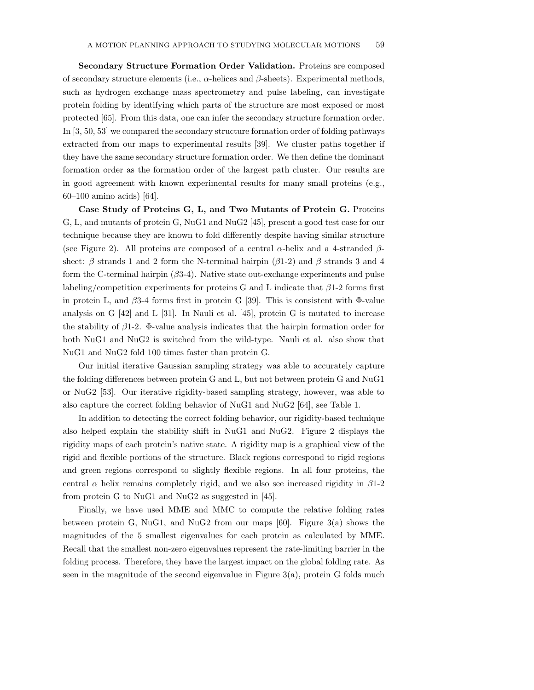Secondary Structure Formation Order Validation. Proteins are composed of secondary structure elements (i.e.,  $\alpha$ -helices and  $\beta$ -sheets). Experimental methods, such as hydrogen exchange mass spectrometry and pulse labeling, can investigate protein folding by identifying which parts of the structure are most exposed or most protected [65]. From this data, one can infer the secondary structure formation order. In [3, 50, 53] we compared the secondary structure formation order of folding pathways extracted from our maps to experimental results [39]. We cluster paths together if they have the same secondary structure formation order. We then define the dominant formation order as the formation order of the largest path cluster. Our results are in good agreement with known experimental results for many small proteins (e.g., 60–100 amino acids) [64].

Case Study of Proteins G, L, and Two Mutants of Protein G. Proteins G, L, and mutants of protein G, NuG1 and NuG2 [45], present a good test case for our technique because they are known to fold differently despite having similar structure (see Figure 2). All proteins are composed of a central  $\alpha$ -helix and a 4-stranded  $\beta$ sheet:  $\beta$  strands 1 and 2 form the N-terminal hairpin ( $\beta$ 1-2) and  $\beta$  strands 3 and 4 form the C-terminal hairpin  $(\beta 3-4)$ . Native state out-exchange experiments and pulse labeling/competition experiments for proteins G and L indicate that  $\beta$ 1-2 forms first in protein L, and  $\beta$ 3-4 forms first in protein G [39]. This is consistent with  $\Phi$ -value analysis on G [42] and L [31]. In Nauli et al. [45], protein G is mutated to increase the stability of  $\beta$ 1-2. Φ-value analysis indicates that the hairpin formation order for both NuG1 and NuG2 is switched from the wild-type. Nauli et al. also show that NuG1 and NuG2 fold 100 times faster than protein G.

Our initial iterative Gaussian sampling strategy was able to accurately capture the folding differences between protein G and L, but not between protein G and NuG1 or NuG2 [53]. Our iterative rigidity-based sampling strategy, however, was able to also capture the correct folding behavior of NuG1 and NuG2 [64], see Table 1.

In addition to detecting the correct folding behavior, our rigidity-based technique also helped explain the stability shift in NuG1 and NuG2. Figure 2 displays the rigidity maps of each protein's native state. A rigidity map is a graphical view of the rigid and flexible portions of the structure. Black regions correspond to rigid regions and green regions correspond to slightly flexible regions. In all four proteins, the central  $\alpha$  helix remains completely rigid, and we also see increased rigidity in  $\beta$ 1-2 from protein G to NuG1 and NuG2 as suggested in [45].

Finally, we have used MME and MMC to compute the relative folding rates between protein G, NuG1, and NuG2 from our maps  $[60]$ . Figure 3(a) shows the magnitudes of the 5 smallest eigenvalues for each protein as calculated by MME. Recall that the smallest non-zero eigenvalues represent the rate-limiting barrier in the folding process. Therefore, they have the largest impact on the global folding rate. As seen in the magnitude of the second eigenvalue in Figure  $3(a)$ , protein G folds much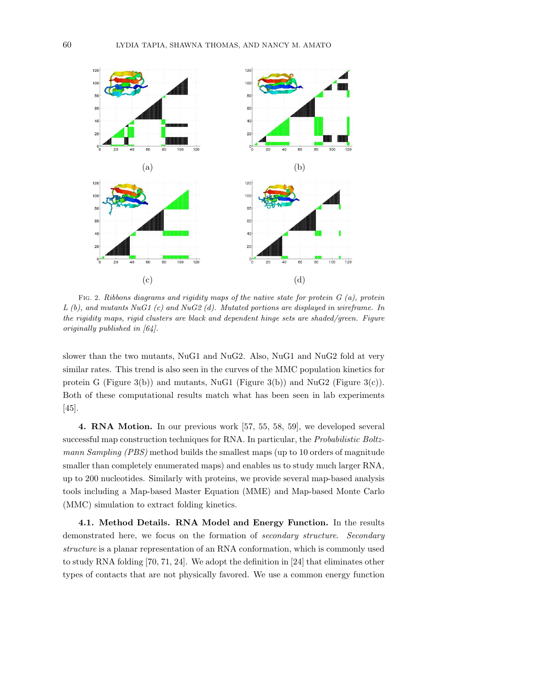

FIG. 2. Ribbons diagrams and rigidity maps of the native state for protein  $G$  (a), protein L (b), and mutants NuG1 (c) and NuG2 (d). Mutated portions are displayed in wireframe. In the rigidity maps, rigid clusters are black and dependent hinge sets are shaded/green. Figure originally published in [64].

slower than the two mutants, NuG1 and NuG2. Also, NuG1 and NuG2 fold at very similar rates. This trend is also seen in the curves of the MMC population kinetics for protein G (Figure 3(b)) and mutants, NuG1 (Figure 3(b)) and NuG2 (Figure 3(c)). Both of these computational results match what has been seen in lab experiments [45].

4. RNA Motion. In our previous work [57, 55, 58, 59], we developed several successful map construction techniques for RNA. In particular, the *Probabilistic Boltz*mann Sampling (PBS) method builds the smallest maps (up to 10 orders of magnitude smaller than completely enumerated maps) and enables us to study much larger RNA, up to 200 nucleotides. Similarly with proteins, we provide several map-based analysis tools including a Map-based Master Equation (MME) and Map-based Monte Carlo (MMC) simulation to extract folding kinetics.

4.1. Method Details. RNA Model and Energy Function. In the results demonstrated here, we focus on the formation of secondary structure. Secondary structure is a planar representation of an RNA conformation, which is commonly used to study RNA folding [70, 71, 24]. We adopt the definition in [24] that eliminates other types of contacts that are not physically favored. We use a common energy function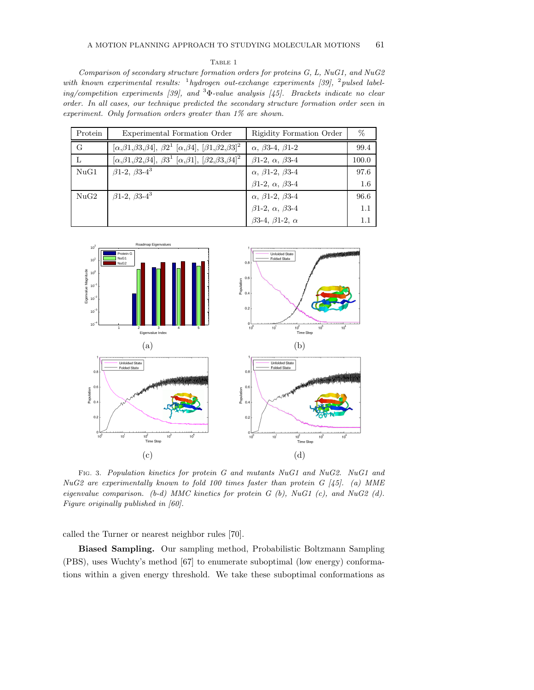#### TABLE 1

Comparison of secondary structure formation orders for proteins G, L, NuG1, and NuG2 with known experimental results:  $\frac{1}{2}$  hydrogen out-exchange experiments [39],  $\frac{2}{2}$  pulsed labeling/competition experiments [39], and  $3\Phi$ -value analysis [45]. Brackets indicate no clear order. In all cases, our technique predicted the secondary structure formation order seen in experiment. Only formation orders greater than 1% are shown.

| Protein | Experimental Formation Order                                                                | Rigidity Formation Order            | $\%$  |
|---------|---------------------------------------------------------------------------------------------|-------------------------------------|-------|
| G       | $[\alpha,\beta_1,\beta_3,\beta_4], \beta_2^1 [\alpha,\beta_4], [\beta_1,\beta_2,\beta_3]^2$ | $\alpha$ , $\beta$ 3-4, $\beta$ 1-2 | 99.4  |
| L       | $[\alpha,\beta_1,\beta_2,\beta_4], \beta_3^1 [\alpha,\beta_1], [\beta_2,\beta_3,\beta_4]^2$ | $\beta$ 1-2, $\alpha$ , $\beta$ 3-4 | 100.0 |
| NuG1    | $\beta$ 1-2, $\beta$ 3-4 <sup>3</sup>                                                       | $\alpha$ , $\beta$ 1-2, $\beta$ 3-4 | 97.6  |
|         |                                                                                             | $\beta$ 1-2, $\alpha$ , $\beta$ 3-4 | 1.6   |
| NuG2    | $\beta$ 1-2, $\beta$ 3-4 <sup>3</sup>                                                       | $\alpha$ , $\beta$ 1-2, $\beta$ 3-4 | 96.6  |
|         |                                                                                             | $\beta$ 1-2, $\alpha$ , $\beta$ 3-4 | 1.1   |
|         |                                                                                             | $\beta$ 3-4, $\beta$ 1-2, $\alpha$  | 1.1   |



Fig. 3. Population kinetics for protein G and mutants NuG1 and NuG2. NuG1 and NuG2 are experimentally known to fold 100 times faster than protein G  $/45$ . (a) MME eigenvalue comparison.  $(b-d)$  MMC kinetics for protein  $G$   $(b)$ , NuG1  $(c)$ , and NuG2  $(d)$ . Figure originally published in [60].

called the Turner or nearest neighbor rules [70].

Biased Sampling. Our sampling method, Probabilistic Boltzmann Sampling (PBS), uses Wuchty's method [67] to enumerate suboptimal (low energy) conformations within a given energy threshold. We take these suboptimal conformations as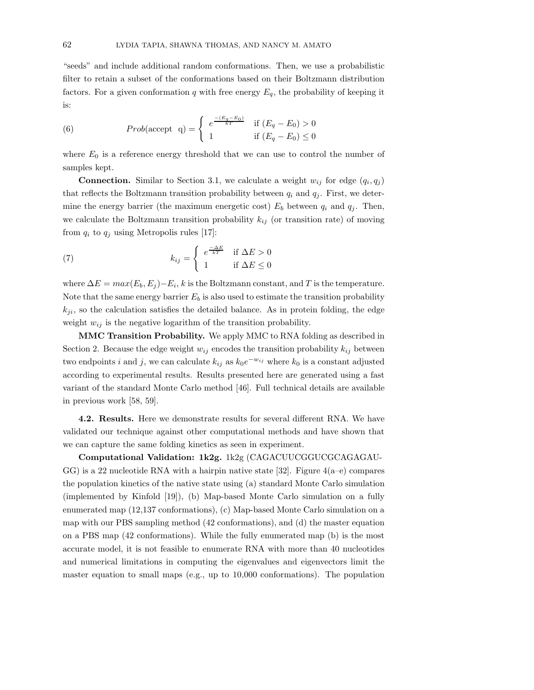"seeds" and include additional random conformations. Then, we use a probabilistic filter to retain a subset of the conformations based on their Boltzmann distribution factors. For a given conformation q with free energy  $E_q$ , the probability of keeping it is:

(6) 
$$
Prob(\text{accept } q) = \begin{cases} e^{\frac{-(E_q - E_0)}{kT}} & \text{if } (E_q - E_0) > 0\\ 1 & \text{if } (E_q - E_0) \le 0 \end{cases}
$$

where  $E_0$  is a reference energy threshold that we can use to control the number of samples kept.

**Connection.** Similar to Section 3.1, we calculate a weight  $w_{ij}$  for edge  $(q_i, q_j)$ that reflects the Boltzmann transition probability between  $q_i$  and  $q_j$ . First, we determine the energy barrier (the maximum energetic cost)  $E_b$  between  $q_i$  and  $q_j$ . Then, we calculate the Boltzmann transition probability  $k_{ij}$  (or transition rate) of moving from  $q_i$  to  $q_j$  using Metropolis rules [17]:

(7) 
$$
k_{ij} = \begin{cases} e^{\frac{-\Delta E}{kT}} & \text{if } \Delta E > 0 \\ 1 & \text{if } \Delta E \le 0 \end{cases}
$$

where  $\Delta E = max(E_b, E_j) - E_i$ , k is the Boltzmann constant, and T is the temperature. Note that the same energy barrier  $E_b$  is also used to estimate the transition probability  $k_{ji}$ , so the calculation satisfies the detailed balance. As in protein folding, the edge weight  $w_{ij}$  is the negative logarithm of the transition probability.

MMC Transition Probability. We apply MMC to RNA folding as described in Section 2. Because the edge weight  $w_{ij}$  encodes the transition probability  $k_{ij}$  between two endpoints i and j, we can calculate  $k_{ij}$  as  $k_0e^{-w_{ij}}$  where  $k_0$  is a constant adjusted according to experimental results. Results presented here are generated using a fast variant of the standard Monte Carlo method [46]. Full technical details are available in previous work [58, 59].

4.2. Results. Here we demonstrate results for several different RNA. We have validated our technique against other computational methods and have shown that we can capture the same folding kinetics as seen in experiment.

Computational Validation: 1k2g. 1k2g (CAGACUUCGGUCGCAGAGAU- $GG$ ) is a 22 nucleotide RNA with a hairpin native state [32]. Figure  $4(a-e)$  compares the population kinetics of the native state using (a) standard Monte Carlo simulation (implemented by Kinfold [19]), (b) Map-based Monte Carlo simulation on a fully enumerated map (12,137 conformations), (c) Map-based Monte Carlo simulation on a map with our PBS sampling method (42 conformations), and (d) the master equation on a PBS map (42 conformations). While the fully enumerated map (b) is the most accurate model, it is not feasible to enumerate RNA with more than 40 nucleotides and numerical limitations in computing the eigenvalues and eigenvectors limit the master equation to small maps (e.g., up to 10,000 conformations). The population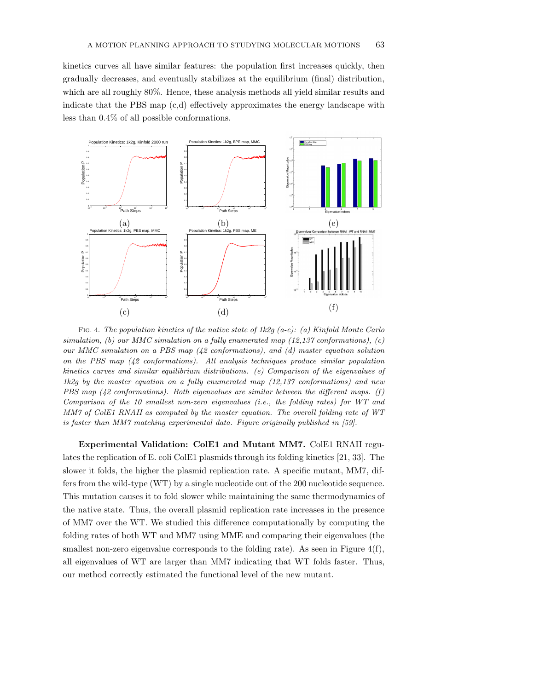kinetics curves all have similar features: the population first increases quickly, then gradually decreases, and eventually stabilizes at the equilibrium (final) distribution, which are all roughly 80%. Hence, these analysis methods all yield similar results and indicate that the PBS map (c,d) effectively approximates the energy landscape with less than 0.4% of all possible conformations.



Fig. 4. The population kinetics of the native state of 1k2g (a-e): (a) Kinfold Monte Carlo simulation, (b) our MMC simulation on a fully enumerated map  $(12,137$  conformations), (c) our MMC simulation on a PBS map (42 conformations), and (d) master equation solution on the PBS map (42 conformations). All analysis techniques produce similar population kinetics curves and similar equilibrium distributions. (e) Comparison of the eigenvalues of 1k2q by the master equation on a fully enumerated map  $(12,137)$  conformations) and new PBS map  $(42$  conformations). Both eigenvalues are similar between the different maps. (f) Comparison of the 10 smallest non-zero eigenvalues (i.e., the folding rates) for WT and MM7 of ColE1 RNAII as computed by the master equation. The overall folding rate of WT is faster than MM7 matching experimental data. Figure originally published in [59].

Experimental Validation: ColE1 and Mutant MM7. ColE1 RNAII regulates the replication of E. coli ColE1 plasmids through its folding kinetics [21, 33]. The slower it folds, the higher the plasmid replication rate. A specific mutant, MM7, differs from the wild-type (WT) by a single nucleotide out of the 200 nucleotide sequence. This mutation causes it to fold slower while maintaining the same thermodynamics of the native state. Thus, the overall plasmid replication rate increases in the presence of MM7 over the WT. We studied this difference computationally by computing the folding rates of both WT and MM7 using MME and comparing their eigenvalues (the smallest non-zero eigenvalue corresponds to the folding rate). As seen in Figure  $4(f)$ , all eigenvalues of WT are larger than MM7 indicating that WT folds faster. Thus, our method correctly estimated the functional level of the new mutant.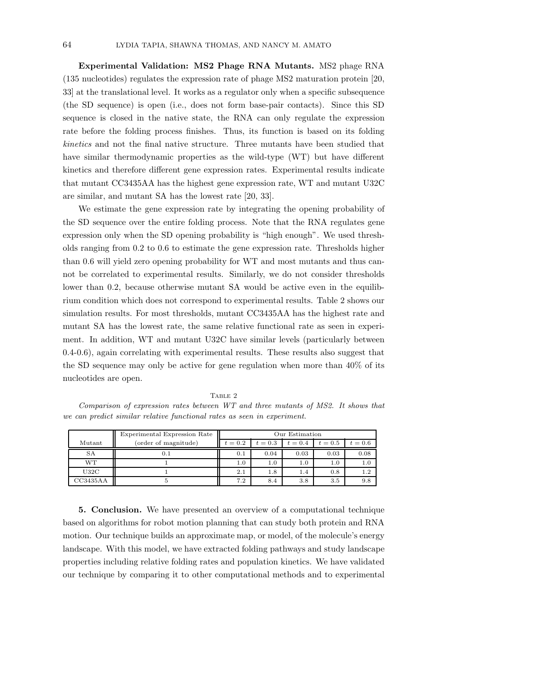Experimental Validation: MS2 Phage RNA Mutants. MS2 phage RNA (135 nucleotides) regulates the expression rate of phage MS2 maturation protein [20, 33] at the translational level. It works as a regulator only when a specific subsequence (the SD sequence) is open (i.e., does not form base-pair contacts). Since this SD sequence is closed in the native state, the RNA can only regulate the expression rate before the folding process finishes. Thus, its function is based on its folding kinetics and not the final native structure. Three mutants have been studied that have similar thermodynamic properties as the wild-type (WT) but have different kinetics and therefore different gene expression rates. Experimental results indicate that mutant CC3435AA has the highest gene expression rate, WT and mutant U32C are similar, and mutant SA has the lowest rate [20, 33].

We estimate the gene expression rate by integrating the opening probability of the SD sequence over the entire folding process. Note that the RNA regulates gene expression only when the SD opening probability is "high enough". We used thresholds ranging from 0.2 to 0.6 to estimate the gene expression rate. Thresholds higher than 0.6 will yield zero opening probability for WT and most mutants and thus cannot be correlated to experimental results. Similarly, we do not consider thresholds lower than 0.2, because otherwise mutant SA would be active even in the equilibrium condition which does not correspond to experimental results. Table 2 shows our simulation results. For most thresholds, mutant CC3435AA has the highest rate and mutant SA has the lowest rate, the same relative functional rate as seen in experiment. In addition, WT and mutant U32C have similar levels (particularly between 0.4-0.6), again correlating with experimental results. These results also suggest that the SD sequence may only be active for gene regulation when more than 40% of its nucleotides are open.

TABLE 2

Comparison of expression rates between WT and three mutants of MS2. It shows that we can predict similar relative functional rates as seen in experiment.

|           | Experimental Expression Rate | Our Estimation |         |         |         |         |
|-----------|------------------------------|----------------|---------|---------|---------|---------|
| Mutant    | (order of magnitude)         | $t=0.2$        | $t=0.3$ | $t=0.4$ | $t=0.5$ | $t=0.6$ |
| <b>SA</b> | $0.1\,$                      | 0.1            | 0.04    | 0.03    | 0.03    | 0.08    |
| WТ        |                              | 1.0            | 1.0     | 1.0     | 1.0     | 1.0     |
| U32C      |                              | 2.1            | 1.8     | 1.4     | 0.8     | 1.2     |
| CC3435AA  |                              | 7.2            | 8.4     | 3.8     | 3.5     | 9.8     |

5. Conclusion. We have presented an overview of a computational technique based on algorithms for robot motion planning that can study both protein and RNA motion. Our technique builds an approximate map, or model, of the molecule's energy landscape. With this model, we have extracted folding pathways and study landscape properties including relative folding rates and population kinetics. We have validated our technique by comparing it to other computational methods and to experimental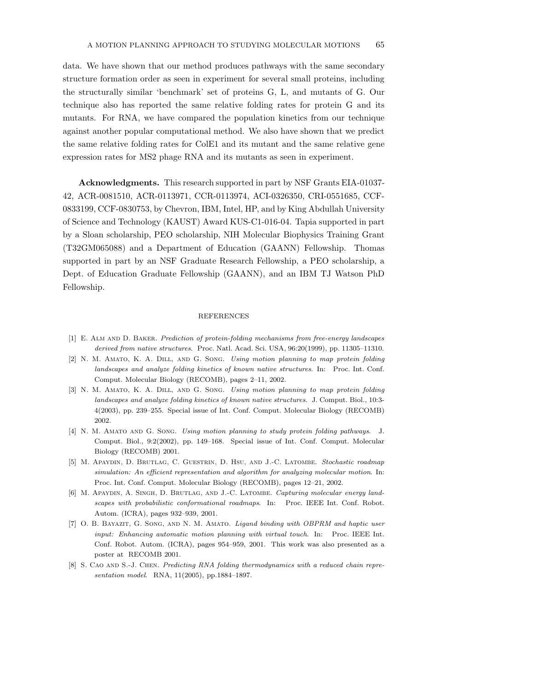data. We have shown that our method produces pathways with the same secondary structure formation order as seen in experiment for several small proteins, including the structurally similar 'benchmark' set of proteins G, L, and mutants of G. Our technique also has reported the same relative folding rates for protein G and its mutants. For RNA, we have compared the population kinetics from our technique against another popular computational method. We also have shown that we predict the same relative folding rates for ColE1 and its mutant and the same relative gene expression rates for MS2 phage RNA and its mutants as seen in experiment.

Acknowledgments. This research supported in part by NSF Grants EIA-01037- 42, ACR-0081510, ACR-0113971, CCR-0113974, ACI-0326350, CRI-0551685, CCF-0833199, CCF-0830753, by Chevron, IBM, Intel, HP, and by King Abdullah University of Science and Technology (KAUST) Award KUS-C1-016-04. Tapia supported in part by a Sloan scholarship, PEO scholarship, NIH Molecular Biophysics Training Grant (T32GM065088) and a Department of Education (GAANN) Fellowship. Thomas supported in part by an NSF Graduate Research Fellowship, a PEO scholarship, a Dept. of Education Graduate Fellowship (GAANN), and an IBM TJ Watson PhD Fellowship.

## REFERENCES

- [1] E. Alm and D. Baker. Prediction of protein-folding mechanisms from free-energy landscapes derived from native structures. Proc. Natl. Acad. Sci. USA, 96:20(1999), pp. 11305–11310.
- [2] N. M. Amato, K. A. Dill, and G. Song. Using motion planning to map protein folding landscapes and analyze folding kinetics of known native structures. In: Proc. Int. Conf. Comput. Molecular Biology (RECOMB), pages 2–11, 2002.
- [3] N. M. AMATO, K. A. DILL, AND G. SONG. Using motion planning to map protein folding landscapes and analyze folding kinetics of known native structures. J. Comput. Biol., 10:3- 4(2003), pp. 239–255. Special issue of Int. Conf. Comput. Molecular Biology (RECOMB) 2002.
- [4] N. M. AMATO AND G. SONG. Using motion planning to study protein folding pathways. J. Comput. Biol., 9:2(2002), pp. 149–168. Special issue of Int. Conf. Comput. Molecular Biology (RECOMB) 2001.
- [5] M. APAYDIN, D. BRUTLAG, C. GUESTRIN, D. HSU, AND J.-C. LATOMBE. Stochastic roadmap simulation: An efficient representation and algorithm for analyzing molecular motion. In: Proc. Int. Conf. Comput. Molecular Biology (RECOMB), pages 12–21, 2002.
- [6] M. APAYDIN, A. SINGH, D. BRUTLAG, AND J.-C. LATOMBE. Capturing molecular energy landscapes with probabilistic conformational roadmaps. In: Proc. IEEE Int. Conf. Robot. Autom. (ICRA), pages 932–939, 2001.
- [7] O. B. BAYAZIT, G. SONG, AND N. M. AMATO. *Ligand binding with OBPRM and haptic user* input: Enhancing automatic motion planning with virtual touch. In: Proc. IEEE Int. Conf. Robot. Autom. (ICRA), pages 954–959, 2001. This work was also presented as a poster at RECOMB 2001.
- [8] S. CAO AND S.-J. CHEN. Predicting RNA folding thermodynamics with a reduced chain representation model. RNA, 11(2005), pp.1884–1897.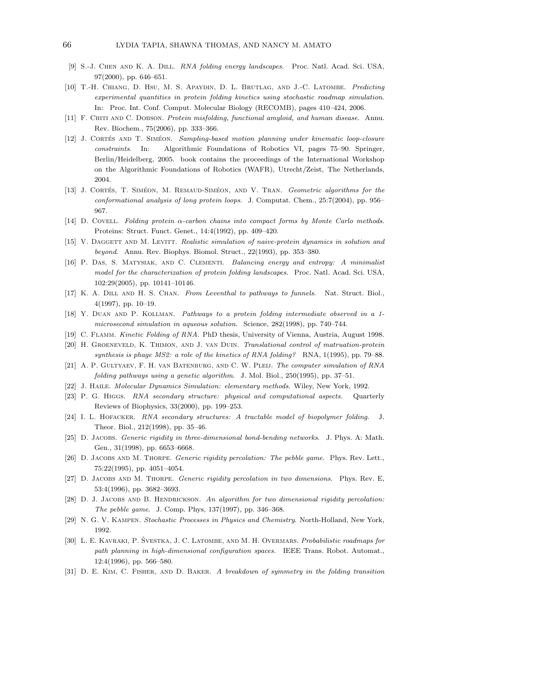- [9] S.-J. Chen and K. A. Dill. RNA folding energy landscapes. Proc. Natl. Acad. Sci. USA, 97(2000), pp. 646–651.
- [10] T.-H. Chiang, D. Hsu, M. S. Apaydin, D. L. Brutlag, and J.-C. Latombe. Predicting experimental quantities in protein folding kinetics using stochastic roadmap simulation. In: Proc. Int. Conf. Comput. Molecular Biology (RECOMB), pages 410–424, 2006.
- [11] F. CHITI AND C. DOBSON. Protein misfolding, functional amyloid, and human disease. Annu. Rev. Biochem., 75(2006), pp. 333–366.
- [12] J. CORTÉS AND T. SIMÉON. Sampling-based motion planning under kinematic loop-closure constraints. In: Algorithmic Foundations of Robotics VI, pages 75–90. Springer, Berlin/Heidelberg, 2005. book contains the proceedings of the International Workshop on the Algorithmic Foundations of Robotics (WAFR), Utrecht/Zeist, The Netherlands, 2004.
- [13] J. CORTÉS, T. SIMÉON, M. REMAUD-SIMÉON, AND V. TRAN. Geometric algorithms for the conformational analysis of long protein loops. J. Computat. Chem., 25:7(2004), pp. 956– 967.
- [14] D. Covell. Folding protein α-carbon chains into compact forms by Monte Carlo methods. Proteins: Struct. Funct. Genet., 14:4(1992), pp. 409–420.
- [15] V. DAGGETT AND M. LEVITT. Realistic simulation of naive-protein dynamics in solution and beyond. Annu. Rev. Biophys. Biomol. Struct., 22(1993), pp. 353–380.
- [16] P. Das, S. Matysiak, and C. Clementi. Balancing energy and entropy: A minimalist model for the characterization of protein folding landscapes. Proc. Natl. Acad. Sci. USA, 102:29(2005), pp. 10141–10146.
- [17] K. A. DILL AND H. S. CHAN. From Leventhal to pathways to funnels. Nat. Struct. Biol., 4(1997), pp. 10–19.
- [18] Y. DUAN AND P. KOLLMAN. Pathways to a protein folding intermediate observed in a 1microsecond simulation in aqueous solution. Science, 282(1998), pp. 740–744.
- [19] C. FLAMM. Kinetic Folding of RNA. PhD thesis, University of Vienna, Austria, August 1998.
- [20] H. Groeneveld, K. Thimon, and J. van Duin. Translational control of matruation-protein synthesis is phage MS2: a role of the kinetics of RNA folding? RNA, 1(1995), pp. 79–88.
- [21] A. P. GULTYAEV, F. H. VAN BATENBURG, AND C. W. PLEIJ. The computer simulation of RNA folding pathways using a genetic algorithm. J. Mol. Biol., 250(1995), pp. 37–51.
- [22] J. Haile. Molecular Dynamics Simulation: elementary methods. Wiley, New York, 1992.
- [23] P. G. HIGGS. RNA secondary structure: physical and computational aspects. Quarterly Reviews of Biophysics, 33(2000), pp. 199–253.
- [24] I. L. Hofacker. RNA secondary structures: A tractable model of biopolymer folding. J. Theor. Biol., 212(1998), pp. 35–46.
- [25] D. JACOBS. Generic rigidity in three-dimensional bond-bending networks. J. Phys. A: Math. Gen., 31(1998), pp. 6653–6668.
- [26] D. JACOBS AND M. THORPE. Generic rigidity percolation: The pebble game. Phys. Rev. Lett., 75:22(1995), pp. 4051–4054.
- [27] D. JACOBS AND M. THORPE. *Generic rigidity percolation in two dimensions.* Phys. Rev. E, 53:4(1996), pp. 3682–3693.
- [28] D. J. JACOBS AND B. HENDRICKSON. An algorithm for two dimensional rigidity percolation: The pebble game. J. Comp. Phys, 137(1997), pp. 346–368.
- [29] N. G. V. Kampen. Stochastic Processes in Physics and Chemistry. North-Holland, New York, 1992.
- [30] L. E. KAVRAKI, P. ŠVESTKA, J. C. LATOMBE, AND M. H. OVERMARS. Probabilistic roadmaps for path planning in high-dimensional configuration spaces. IEEE Trans. Robot. Automat., 12:4(1996), pp. 566–580.
- [31] D. E. Kim, C. Fisher, and D. Baker. A breakdown of symmetry in the folding transition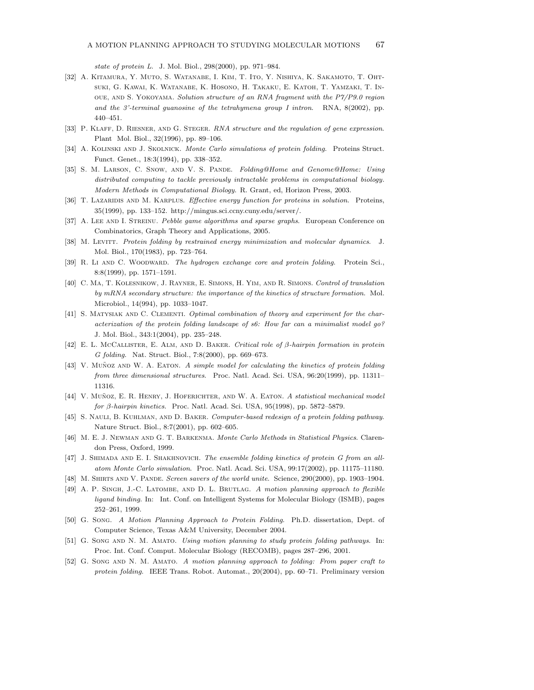state of protein L. J. Mol. Biol., 298(2000), pp. 971–984.

- [32] A. Kitamura, Y. Muto, S. Watanabe, I. Kim, T. Ito, Y. Nishiya, K. Sakamoto, T. Ohtsuki, G. Kawai, K. Watanabe, K. Hosono, H. Takaku, E. Katoh, T. Yamzaki, T. Inoue, and S. Yokoyama. Solution structure of an RNA fragment with the P7/P9.0 region and the 3'-terminal guanosine of the tetrahymena group I intron. RNA,  $8(2002)$ , pp. 440–451.
- [33] P. KLAFF, D. RIESNER, AND G. STEGER. RNA structure and the regulation of gene expression. Plant Mol. Biol., 32(1996), pp. 89–106.
- [34] A. Kolinski and J. Skolnick. Monte Carlo simulations of protein folding. Proteins Struct. Funct. Genet., 18:3(1994), pp. 338–352.
- [35] S. M. Larson, C. Snow, and V. S. Pande. Folding@Home and Genome@Home: Using distributed computing to tackle previously intractable problems in computational biology. Modern Methods in Computational Biology. R. Grant, ed, Horizon Press, 2003.
- [36] T. LAZARIDIS AND M. KARPLUS. Effective energy function for proteins in solution. Proteins, 35(1999), pp. 133–152. http://mingus.sci.ccny.cuny.edu/server/.
- [37] A. LEE AND I. STREINU. Pebble game algorithms and sparse graphs. European Conference on Combinatorics, Graph Theory and Applications, 2005.
- [38] M. LEVITT. Protein folding by restrained energy minimization and molecular dynamics. J. Mol. Biol., 170(1983), pp. 723–764.
- [39] R. Li AND C. WOODWARD. The hydrogen exchange core and protein folding. Protein Sci., 8:8(1999), pp. 1571–1591.
- [40] C. Ma, T. Kolesnikow, J. Rayner, E. Simons, H. Yim, and R. Simons. Control of translation by mRNA secondary structure: the importance of the kinetics of structure formation. Mol. Microbiol., 14(994), pp. 1033–1047.
- [41] S. MATYSIAK AND C. CLEMENTI. Optimal combination of theory and experiment for the characterization of the protein folding landscape of s6: How far can a minimalist model go? J. Mol. Biol., 343:1(2004), pp. 235–248.
- [42] E. L. McCallister, E. Alm, and D. Baker. Critical role of β-hairpin formation in protein G folding. Nat. Struct. Biol., 7:8(2000), pp. 669–673.
- $[43]$  V. Muñoz AND W. A. EATON. A simple model for calculating the kinetics of protein folding from three dimensional structures. Proc. Natl. Acad. Sci. USA, 96:20(1999), pp. 11311– 11316.
- [44] V. MUÑOZ, E. R. HENRY, J. HOFERICHTER, AND W. A. EATON. A statistical mechanical model for β-hairpin kinetics. Proc. Natl. Acad. Sci. USA, 95(1998), pp. 5872–5879.
- [45] S. NAULI, B. KUHLMAN, AND D. BAKER. Computer-based redesign of a protein folding pathway. Nature Struct. Biol., 8:7(2001), pp. 602–605.
- [46] M. E. J. Newman and G. T. Barkenma. Monte Carlo Methods in Statistical Physics. Clarendon Press, Oxford, 1999.
- [47] J. SHIMADA AND E. I. SHAKHNOVICH. The ensemble folding kinetics of protein G from an allatom Monte Carlo simulation. Proc. Natl. Acad. Sci. USA, 99:17(2002), pp. 11175–11180.
- [48] M. SHIRTS AND V. PANDE. Screen savers of the world unite. Science, 290(2000), pp. 1903–1904.
- [49] A. P. Singh, J.-C. Latombe, and D. L. Brutlag. A motion planning approach to flexible ligand binding. In: Int. Conf. on Intelligent Systems for Molecular Biology (ISMB), pages 252–261, 1999.
- [50] G. Song. A Motion Planning Approach to Protein Folding. Ph.D. dissertation, Dept. of Computer Science, Texas A&M University, December 2004.
- [51] G. Song AND N. M. AMATO. Using motion planning to study protein folding pathways. In: Proc. Int. Conf. Comput. Molecular Biology (RECOMB), pages 287–296, 2001.
- [52] G. Song AND N. M. AMATO. A motion planning approach to folding: From paper craft to protein folding. IEEE Trans. Robot. Automat., 20(2004), pp. 60–71. Preliminary version